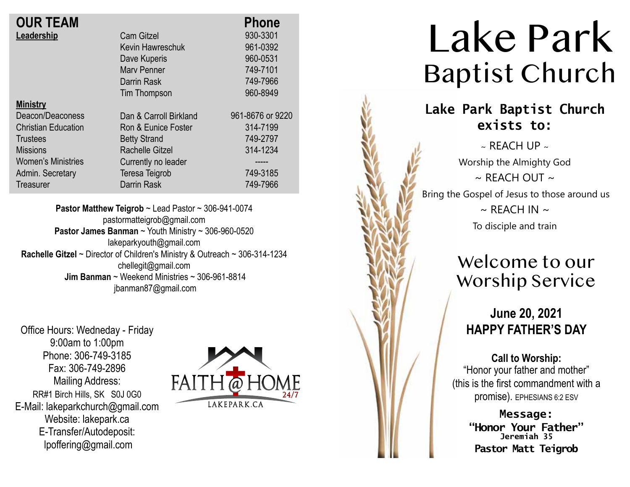| <b>OUR TEAM</b>            |                        | <b>Phone</b>     |
|----------------------------|------------------------|------------------|
| Leadership                 | <b>Cam Gitzel</b>      | 930-3301         |
|                            | Kevin Hawreschuk       | 961-0392         |
|                            | Dave Kuperis           | 960-0531         |
|                            | <b>Mary Penner</b>     | 749-7101         |
|                            | Darrin Rask            | 749-7966         |
|                            | Tim Thompson           | 960-8949         |
| <b>Ministry</b>            |                        |                  |
| Deacon/Deaconess           | Dan & Carroll Birkland | 961-8676 or 9220 |
| <b>Christian Education</b> | Ron & Eunice Foster    | 314-7199         |
| <b>Trustees</b>            | <b>Betty Strand</b>    | 749-2797         |
| <b>Missions</b>            | Rachelle Gitzel        | 314-1234         |
| <b>Women's Ministries</b>  | Currently no leader    |                  |
| Admin. Secretary           | Teresa Teigrob         | 749-3185         |
| Treasurer                  | Darrin Rask            | 749-7966         |

**Pastor Matthew Teigrob** ~ Lead Pastor ~ 306-941-0074 pastormatteigrob@gmail.com **Pastor James Banman** ~ Youth Ministry ~ 306-960-0520 lakeparkyouth@gmail.com **Rachelle Gitzel** ~ Director of Children's Ministry & Outreach ~ 306-314-1234 chellegit@gmail.com  **Jim Banman** ~ Weekend Ministries ~ 306-961-8814 jbanman87@gmail.com

Office Hours: Wedneday - Friday 9:00am to 1:00pm Phone: 306-749-3185 Fax: 306-749-2896 Mailing Address: RR#1 Birch Hills, SK S0J 0G0 E-Mail: lakeparkchurch@gmail.com Website: lakepark.ca E-Transfer/Autodeposit: lpoffering@gmail.com



# Lake Park Baptist Church

## **Lake Park Baptist Church exists to:**

 $\sim$  REACH UP  $\sim$ Worship the Almighty God  $\sim$  RFACH OUT  $\sim$ Bring the Gospel of Jesus to those around us  $\sim$  REACH IN  $\sim$ To disciple and train

# Welcome to our Worship Service

### **June 20, 2021 HAPPY FATHER'S DAY**

**Call to Worship:** "Honor your father and mother" (this is the first commandment with a promise). EPHESIANS 6:2 ESV

> **Message: "Honor Your Father" Jeremiah 35 Pastor Matt Teigrob**